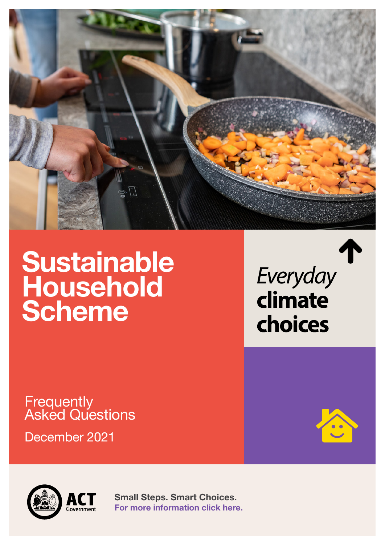

# **Sustainable Household Scheme**

Everyday climate choices

## **Frequently** Asked Questions

December 2021



**Small Steps. Smart Choices. [For more information click here.](climatechoices.act.gov.au/policy-programs/sustainable-household-scheme)**

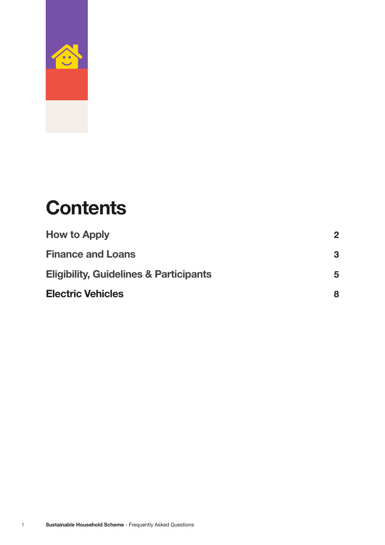

## **Contents**

| <b>How to Apply</b>                               | $\mathbf 2$ |
|---------------------------------------------------|-------------|
| <b>Finance and Loans</b>                          | 3           |
| <b>Eligibility, Guidelines &amp; Participants</b> | 5           |
| <b>Electric Vehicles</b>                          | 8           |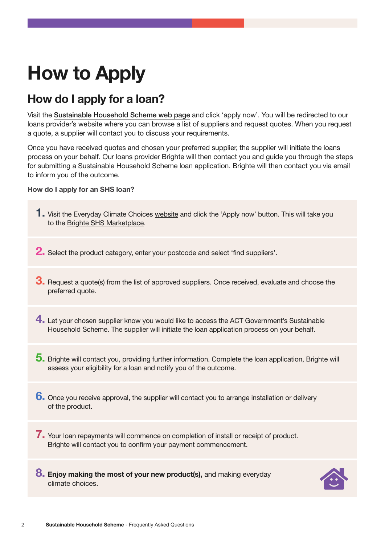## **How to Apply**

## **How do I apply for a loan?**

Visit the [Sustainable Household Scheme web page](https://www.climatechoices.act.gov.au/policy-programs/sustainable-household-scheme) and click 'apply now'. You will be redirected to our loans provider's website where you can browse a list of suppliers and request quotes. When you request a quote, a supplier will contact you to discuss your requirements.

Once you have received quotes and chosen your preferred supplier, the supplier will initiate the loans process on your behalf. Our loans provider Brighte will then contact you and guide you through the steps for submitting a Sustainable Household Scheme loan application. Brighte will then contact you via email to inform you of the outcome.

#### **How do I apply for an SHS loan?**



**8. Enjoy making the most of your new product(s),** and making everyday climate choices.

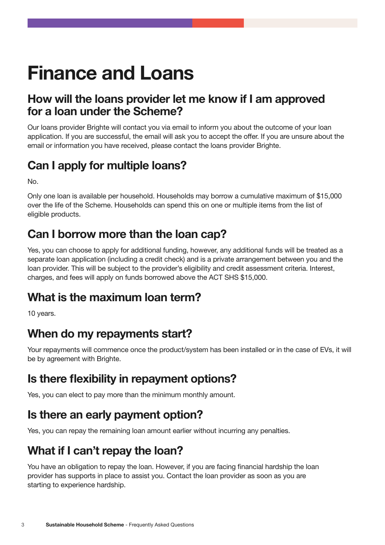## **Finance and Loans**

#### **How will the loans provider let me know if I am approved for a loan under the Scheme?**

Our loans provider Brighte will contact you via email to inform you about the outcome of your loan application. If you are successful, the email will ask you to accept the offer. If you are unsure about the email or information you have received, please contact the loans provider Brighte.

## **Can I apply for multiple loans?**

No.

Only one loan is available per household. Households may borrow a cumulative maximum of \$15,000 over the life of the Scheme. Households can spend this on one or multiple items from the list of eligible products.

## **Can I borrow more than the loan cap?**

Yes, you can choose to apply for additional funding, however, any additional funds will be treated as a separate loan application (including a credit check) and is a private arrangement between you and the loan provider. This will be subject to the provider's eligibility and credit assessment criteria. Interest, charges, and fees will apply on funds borrowed above the ACT SHS \$15,000.

## **What is the maximum loan term?**

10 years.

## **When do my repayments start?**

Your repayments will commence once the product/system has been installed or in the case of EVs, it will be by agreement with Brighte.

## **Is there flexibility in repayment options?**

Yes, you can elect to pay more than the minimum monthly amount.

### **Is there an early payment option?**

Yes, you can repay the remaining loan amount earlier without incurring any penalties.

## **What if I can't repay the loan?**

You have an obligation to repay the loan. However, if you are facing financial hardship the loan provider has supports in place to assist you. Contact the loan provider as soon as you are starting to experience hardship.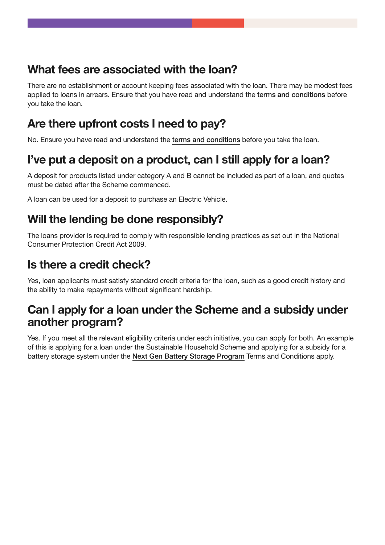## **What fees are associated with the loan?**

There are no establishment or account keeping fees associated with the loan. There may be modest fees applied to loans in arrears. Ensure that you have read and understand the [terms and conditions](https://www.climatechoices.act.gov.au/__data/assets/pdf_file/0011/1861571/Sustainable-Household-Scheme-Terms-and-Conditions.pdf) before you take the loan.

## **Are there upfront costs I need to pay?**

No. Ensure you have read and understand the [terms and conditions](https://www.climatechoices.act.gov.au/__data/assets/pdf_file/0011/1861571/Sustainable-Household-Scheme-Terms-and-Conditions.pdf) before you take the loan.

## **I've put a deposit on a product, can I still apply for a loan?**

A deposit for products listed under category A and B cannot be included as part of a loan, and quotes must be dated after the Scheme commenced.

A loan can be used for a deposit to purchase an Electric Vehicle.

## **Will the lending be done responsibly?**

The loans provider is required to comply with responsible lending practices as set out in the [National](https://www.legislation.gov.au/Details/C2019C00053)  [Consumer Protection Credit Act 2009.](https://www.legislation.gov.au/Details/C2019C00053)

## **Is there a credit check?**

Yes, loan applicants must satisfy standard credit criteria for the loan, such as a good credit history and the ability to make repayments without significant hardship.

### **Can I apply for a loan under the Scheme and a subsidy under another program?**

Yes. If you meet all the relevant eligibility criteria under each initiative, you can apply for both. An example of this is applying for a loan under the Sustainable Household Scheme and applying for a subsidy for a battery storage system under the [Next Gen Battery Storage Program](https://www.climatechoices.act.gov.au/policy-programs/next-gen-energy-storage) Terms and Conditions apply.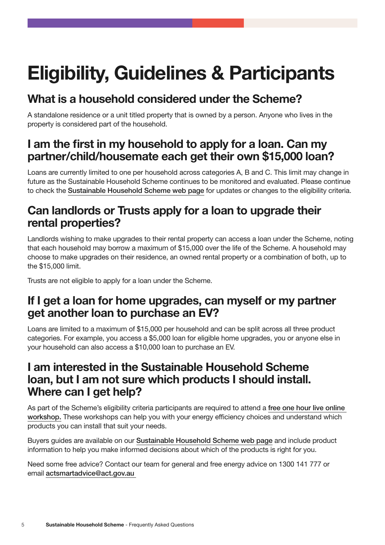## **Eligibility, Guidelines & Participants**

## **What is a household considered under the Scheme?**

A standalone residence or a unit titled property that is owned by a person. Anyone who lives in the property is considered part of the household.

### **I am the first in my household to apply for a loan. Can my partner/child/housemate each get their own \$15,000 loan?**

Loans are currently limited to one per household across categories A, B and C. This limit may change in future as the Sustainable Household Scheme continues to be monitored and evaluated. Please continue to check the [Sustainable Household Scheme web page](https://www.climatechoices.act.gov.au/policy-programs/sustainable-household-scheme) for updates or changes to the eligibility criteria.

### **Can landlords or Trusts apply for a loan to upgrade their rental properties?**

Landlords wishing to make upgrades to their rental property can access a loan under the Scheme, noting that each household may borrow a maximum of \$15,000 over the life of the Scheme. A household may choose to make upgrades on their residence, an owned rental property or a combination of both, up to the \$15,000 limit.

Trusts are not eligible to apply for a loan under the Scheme.

#### **If I get a loan for home upgrades, can myself or my partner get another loan to purchase an EV?**

Loans are limited to a maximum of \$15,000 per household and can be split across all three product categories. For example, you access a \$5,000 loan for eligible home upgrades, you or anyone else in your household can also access a \$10,000 loan to purchase an EV.

#### **I am interested in the Sustainable Household Scheme loan, but I am not sure which products I should install. Where can I get help?**

As part of the Scheme's eligibility criteria participants are required to attend a [free one hour live online](https://www.climatechoices.act.gov.au/events-news)  [workshop.](https://www.climatechoices.act.gov.au/events-news) These workshops can help you with your energy efficiency choices and understand which products you can install that suit your needs.

Buyers guides are available on our [Sustainable Household Scheme web page](https://www.climatechoices.act.gov.au/policy-programs/sustainable-household-scheme) and include product information to help you make informed decisions about which of the products is right for you.

Need some free advice? Contact our team for general and free energy advice on 1300 141 777 or email [actsmartadvice@act.gov.au](mailto:actsmartadvice@act.gov.au)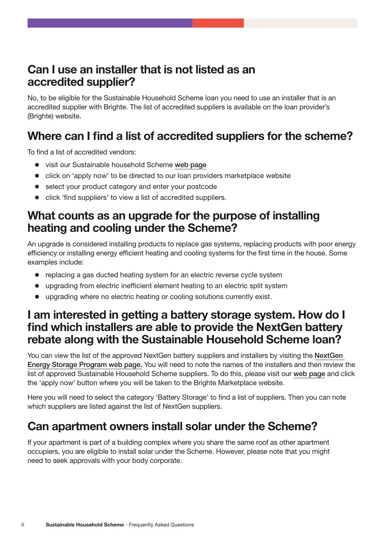#### **Can I use an installer that is not listed as an accredited supplier?**

No, to be eligible for the Sustainable Household Scheme loan you need to use an installer that is an accredited supplier with Brighte. The list of accredited suppliers is available on the loan provider's (Brighte) website.

### **Where can I find a list of accredited suppliers for the scheme?**

To find a list of accredited vendors:

- visit our Sustainable household Scheme [web page](https://www.climatechoices.act.gov.au/policy-programs/sustainable-household-scheme)
- $\bullet$  click on 'apply now' to be directed to our loan providers marketplace website
- select your product category and enter your postcode
- click 'find suppliers' to view a list of accredited suppliers.

#### **What counts as an upgrade for the purpose of installing heating and cooling under the Scheme?**

An upgrade is considered installing products to replace gas systems, replacing products with poor energy efficiency or installing energy efficient heating and cooling systems for the first time in the house. Some examples include:

- replacing a gas ducted heating system for an electric reverse cycle system
- upgrading from electric inefficient element heating to an electric split system
- upgrading where no electric heating or cooling solutions currently exist.

#### **I am interested in getting a battery storage system. How do I find which installers are able to provide the NextGen battery rebate along with the Sustainable Household Scheme loan?**

You can view the list of the approved NextGen battery suppliers and installers by visiting the [NextGen](https://www.climatechoices.act.gov.au/policy-programs/next-gen-energy-storage)  [Energy Storage Program web page.](https://www.climatechoices.act.gov.au/policy-programs/next-gen-energy-storage) You will need to note the names of the installers and then review the list of approved Sustainable Household Scheme suppliers. To do this, please visit our [web page](https://www.climatechoices.act.gov.au/policy-programs/sustainable-household-scheme) and click the 'apply now' button where you will be taken to the Brighte Marketplace website.

Here you will need to select the category 'Battery Storage' to find a list of suppliers. Then you can note which suppliers are listed against the list of NextGen suppliers.

### **Can apartment owners install solar under the Scheme?**

If your apartment is part of a building complex where you share the same roof as other apartment occupiers, you are eligible to install solar under the Scheme. However, please note that you might need to seek approvals with your body corporate.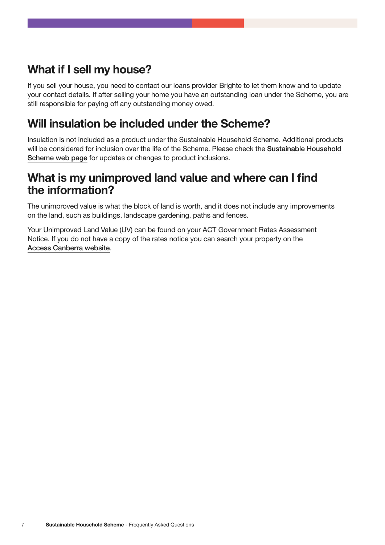## **What if I sell my house?**

If you sell your house, you need to contact our loans provider Brighte to let them know and to update your contact details. If after selling your home you have an outstanding loan under the Scheme, you are still responsible for paying off any outstanding money owed.

## **Will insulation be included under the Scheme?**

Insulation is not included as a product under the Sustainable Household Scheme. Additional products will be considered for inclusion over the life of the Scheme. Please check the [Sustainable Household](https://www.climatechoices.act.gov.au/policy-programs/sustainable-household-scheme)  [Scheme web page](https://www.climatechoices.act.gov.au/policy-programs/sustainable-household-scheme) for updates or changes to product inclusions.

#### **What is my unimproved land value and where can I find the information?**

The unimproved value is what the block of land is worth, and it does not include any improvements on the land, such as buildings, landscape gardening, paths and fences.

Your Unimproved Land Value (UV) can be found on your ACT Government Rates Assessment Notice. If you do not have a copy of the rates notice you can search your property on the Access [Canberra website](https://www.accesscanberra.act.gov.au/s/public-registers/unimproved-values?registerid=m0I4a00000000CgEAI).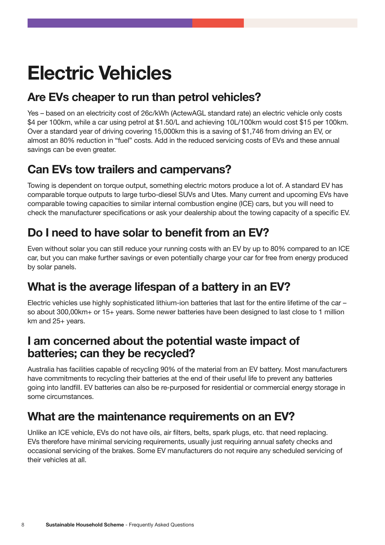## **Electric Vehicles**

## **Are EVs cheaper to run than petrol vehicles?**

Yes – based on an electricity cost of 26c/kWh (ActewAGL standard rate) an electric vehicle only costs \$4 per 100km, while a car using petrol at \$1.50/L and achieving 10L/100km would cost \$15 per 100km. Over a standard year of driving covering 15,000km this is a saving of \$1,746 from driving an EV, or almost an 80% reduction in "fuel" costs. Add in the reduced servicing costs of EVs and these annual savings can be even greater.

## **Can EVs tow trailers and campervans?**

Towing is dependent on torque output, something electric motors produce a lot of. A standard EV has comparable torque outputs to large turbo-diesel SUVs and Utes. Many current and upcoming EVs have comparable towing capacities to similar internal combustion engine (ICE) cars, but you will need to check the manufacturer specifications or ask your dealership about the towing capacity of a specific EV.

## **Do I need to have solar to benefit from an EV?**

Even without solar you can still reduce your running costs with an EV by up to 80% compared to an ICE car, but you can make further savings or even potentially charge your car for free from energy produced by solar panels.

## **What is the average lifespan of a battery in an EV?**

Electric vehicles use highly sophisticated lithium-ion batteries that last for the entire lifetime of the car – so about 300,00km+ or 15+ years. Some newer batteries have been designed to last close to 1 million km and 25+ years.

#### **I am concerned about the potential waste impact of batteries; can they be recycled?**

Australia has facilities capable of recycling 90% of the material from an EV battery. Most manufacturers have commitments to recycling their batteries at the end of their useful life to prevent any batteries going into landfill. EV batteries can also be re-purposed for residential or commercial energy storage in some circumstances.

## **What are the maintenance requirements on an EV?**

Unlike an ICE vehicle, EVs do not have oils, air filters, belts, spark plugs, etc. that need replacing. EVs therefore have minimal servicing requirements, usually just requiring annual safety checks and occasional servicing of the brakes. Some EV manufacturers do not require any scheduled servicing of their vehicles at all.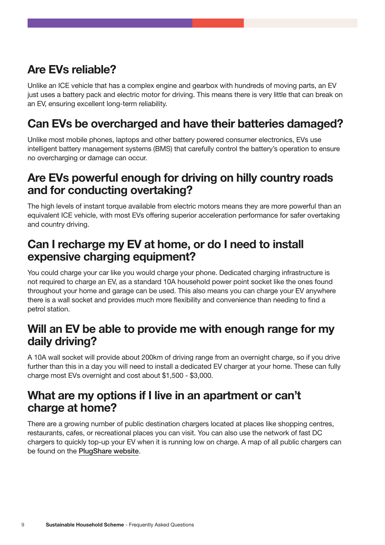## **Are EVs reliable?**

Unlike an ICE vehicle that has a complex engine and gearbox with hundreds of moving parts, an EV just uses a battery pack and electric motor for driving. This means there is very little that can break on an EV, ensuring excellent long-term reliability.

## **Can EVs be overcharged and have their batteries damaged?**

Unlike most mobile phones, laptops and other battery powered consumer electronics, EVs use intelligent battery management systems (BMS) that carefully control the battery's operation to ensure no overcharging or damage can occur.

#### **Are EVs powerful enough for driving on hilly country roads and for conducting overtaking?**

The high levels of instant torque available from electric motors means they are more powerful than an equivalent ICE vehicle, with most EVs offering superior acceleration performance for safer overtaking and country driving.

#### **Can I recharge my EV at home, or do I need to install expensive charging equipment?**

You could charge your car like you would charge your phone. Dedicated charging infrastructure is not required to charge an EV, as a standard 10A household power point socket like the ones found throughout your home and garage can be used. This also means you can charge your EV anywhere there is a wall socket and provides much more flexibility and convenience than needing to find a petrol station.

#### **Will an EV be able to provide me with enough range for my daily driving?**

A 10A wall socket will provide about 200km of driving range from an overnight charge, so if you drive further than this in a day you will need to install a dedicated EV charger at your home. These can fully charge most EVs overnight and cost about \$1,500 - \$3,000.

#### **What are my options if I live in an apartment or can't charge at home?**

There are a growing number of public destination chargers located at places like shopping centres, restaurants, cafes, or recreational places you can visit. You can also use the network of fast DC chargers to quickly top-up your EV when it is running low on charge. A map of all public chargers can be found on the [PlugShare website](https://www.plugshare.com/).